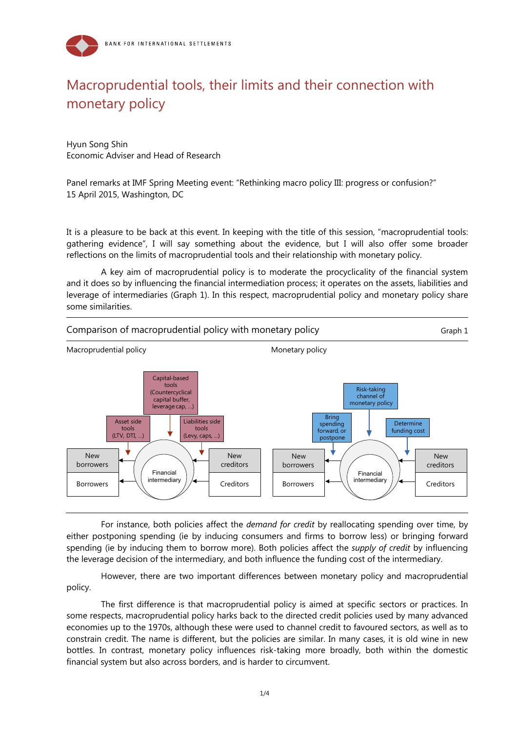

## Macroprudential tools, their limits and their connection with monetary policy

Hyun Song Shin Economic Adviser and Head of Research

Panel remarks at IMF Spring Meeting event: "Rethinking macro policy III: progress or confusion?" 15 April 2015, Washington, DC

It is a pleasure to be back at this event. In keeping with the title of this session, "macroprudential tools: gathering evidence", I will say something about the evidence, but I will also offer some broader reflections on the limits of macroprudential tools and their relationship with monetary policy.

A key aim of macroprudential policy is to moderate the procyclicality of the financial system and it does so by influencing the financial intermediation process; it operates on the assets, liabilities and leverage of intermediaries (Graph 1). In this respect, macroprudential policy and monetary policy share some similarities.



For instance, both policies affect the *demand for credit* by reallocating spending over time, by either postponing spending (ie by inducing consumers and firms to borrow less) or bringing forward spending (ie by inducing them to borrow more). Both policies affect the *supply of credit* by influencing the leverage decision of the intermediary, and both influence the funding cost of the intermediary.

However, there are two important differences between monetary policy and macroprudential policy.

The first difference is that macroprudential policy is aimed at specific sectors or practices. In some respects, macroprudential policy harks back to the directed credit policies used by many advanced economies up to the 1970s, although these were used to channel credit to favoured sectors, as well as to constrain credit. The name is different, but the policies are similar. In many cases, it is old wine in new bottles. In contrast, monetary policy influences risk-taking more broadly, both within the domestic financial system but also across borders, and is harder to circumvent.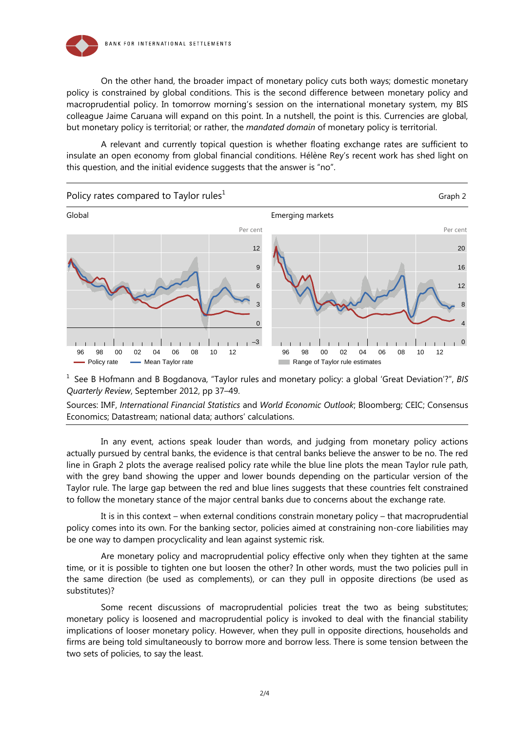

On the other hand, the broader impact of monetary policy cuts both ways; domestic monetary policy is constrained by global conditions. This is the second difference between monetary policy and macroprudential policy. In tomorrow morning's session on the international monetary system, my BIS colleague Jaime Caruana will expand on this point. In a nutshell, the point is this. Currencies are global, but monetary policy is territorial; or rather, the *mandated domain* of monetary policy is territorial.

A relevant and currently topical question is whether floating exchange rates are sufficient to insulate an open economy from global financial conditions. Hélène Rey's recent work has shed light on this question, and the initial evidence suggests that the answer is "no".



1 See B Hofmann and B Bogdanova, "Taylor rules and monetary policy: a global 'Great Deviation'?", *BIS Quarterly Review*, September 2012, pp 37–49.

Sources: IMF, *International Financial Statistics* and *World Economic Outlook*; Bloomberg; CEIC; Consensus Economics; Datastream; national data; authors' calculations.

In any event, actions speak louder than words, and judging from monetary policy actions actually pursued by central banks, the evidence is that central banks believe the answer to be no. The red line in Graph 2 plots the average realised policy rate while the blue line plots the mean Taylor rule path, with the grey band showing the upper and lower bounds depending on the particular version of the Taylor rule. The large gap between the red and blue lines suggests that these countries felt constrained to follow the monetary stance of the major central banks due to concerns about the exchange rate.

It is in this context – when external conditions constrain monetary policy – that macroprudential policy comes into its own. For the banking sector, policies aimed at constraining non-core liabilities may be one way to dampen procyclicality and lean against systemic risk.

Are monetary policy and macroprudential policy effective only when they tighten at the same time, or it is possible to tighten one but loosen the other? In other words, must the two policies pull in the same direction (be used as complements), or can they pull in opposite directions (be used as substitutes)?

Some recent discussions of macroprudential policies treat the two as being substitutes; monetary policy is loosened and macroprudential policy is invoked to deal with the financial stability implications of looser monetary policy. However, when they pull in opposite directions, households and firms are being told simultaneously to borrow more and borrow less. There is some tension between the two sets of policies, to say the least.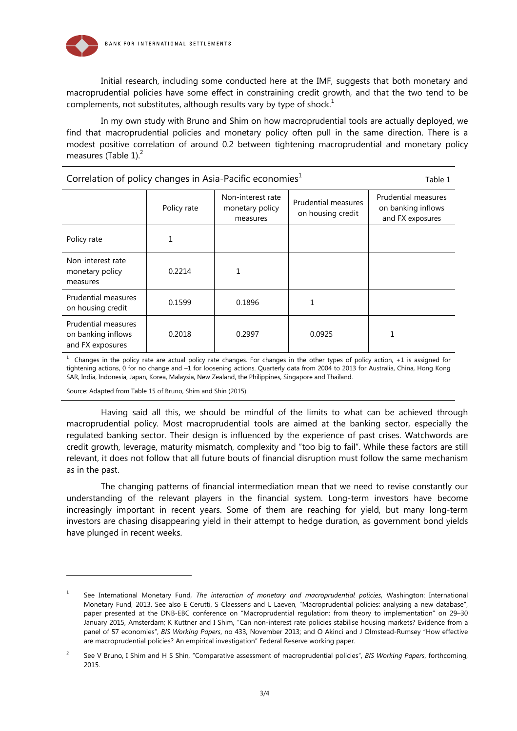

Initial research, including some conducted here at the IMF, suggests that both monetary and macroprudential policies have some effect in constraining credit growth, and that the two tend to be complements, not substitutes, although results vary by type of shock.<sup>1</sup>

In my own study with Bruno and Shim on how macroprudential tools are actually deployed, we find that macroprudential policies and monetary policy often pull in the same direction. There is a modest positive correlation of around 0.2 between tightening macroprudential and monetary policy measures (Table 1).<sup>2</sup>

| Correlation of policy changes in Asia-Pacific economies <sup>1</sup> |             |                                                  |                                                 | Table 1                                                              |
|----------------------------------------------------------------------|-------------|--------------------------------------------------|-------------------------------------------------|----------------------------------------------------------------------|
|                                                                      | Policy rate | Non-interest rate<br>monetary policy<br>measures | <b>Prudential measures</b><br>on housing credit | <b>Prudential measures</b><br>on banking inflows<br>and FX exposures |
| Policy rate                                                          | 1           |                                                  |                                                 |                                                                      |
| Non-interest rate<br>monetary policy<br>measures                     | 0.2214      |                                                  |                                                 |                                                                      |
| Prudential measures<br>on housing credit                             | 0.1599      | 0.1896                                           |                                                 |                                                                      |
| Prudential measures<br>on banking inflows<br>and FX exposures        | 0.2018      | 0.2997                                           | 0.0925                                          |                                                                      |

 $1$  Changes in the policy rate are actual policy rate changes. For changes in the other types of policy action, +1 is assigned for tightening actions, 0 for no change and –1 for loosening actions. Quarterly data from 2004 to 2013 for Australia, China, Hong Kong SAR, India, Indonesia, Japan, Korea, Malaysia, New Zealand, the Philippines, Singapore and Thailand.

Source: Adapted from Table 15 of Bruno, Shim and Shin (2015).

l

Having said all this, we should be mindful of the limits to what can be achieved through macroprudential policy. Most macroprudential tools are aimed at the banking sector, especially the regulated banking sector. Their design is influenced by the experience of past crises. Watchwords are credit growth, leverage, maturity mismatch, complexity and "too big to fail". While these factors are still relevant, it does not follow that all future bouts of financial disruption must follow the same mechanism as in the past.

The changing patterns of financial intermediation mean that we need to revise constantly our understanding of the relevant players in the financial system. Long-term investors have become increasingly important in recent years. Some of them are reaching for yield, but many long-term investors are chasing disappearing yield in their attempt to hedge duration, as government bond yields have plunged in recent weeks.

<sup>1</sup> See International Monetary Fund, *The interaction of monetary and macroprudential policies*, Washington: International Monetary Fund, 2013. See also E Cerutti, S Claessens and L Laeven, "Macroprudential policies: analysing a new database", paper presented at the DNB-EBC conference on "Macroprudential regulation: from theory to implementation" on 29–30 January 2015, Amsterdam; K Kuttner and I Shim, "Can non-interest rate policies stabilise housing markets? Evidence from a panel of 57 economies", *BIS Working Papers*, no 433, November 2013; and O Akinci and J Olmstead-Rumsey "How effective are macroprudential policies? An empirical investigation" Federal Reserve working paper.

<sup>2</sup> See V Bruno, I Shim and H S Shin, "Comparative assessment of macroprudential policies", *BIS Working Papers*, forthcoming, 2015.